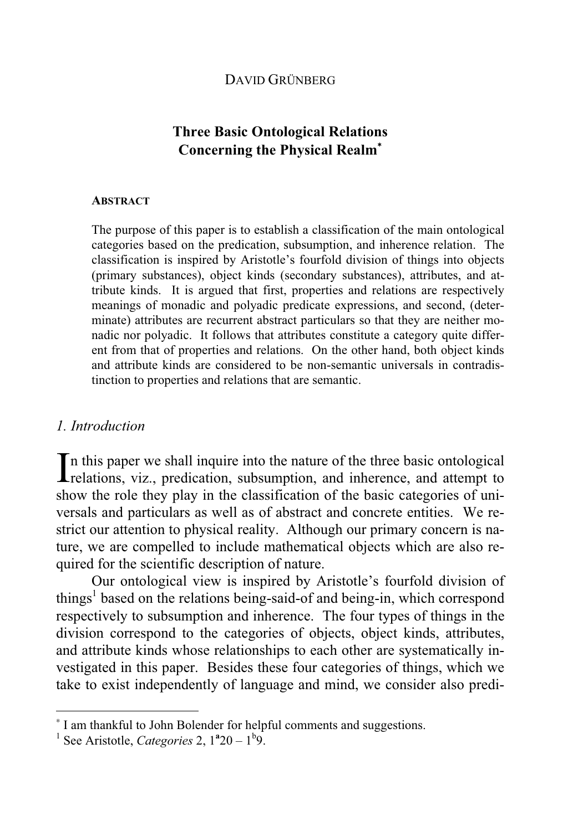## DAVID GRÜNBERG

# **The Basic Ontological Realm<sup>∗</sup>**

## **ABSTRACT**

The purpose of this paper is to establish a classification of the main ontological categories based on the predication, subsumption, and inherence relation. The classification is inspired by Aristotle's fourfold division of things into objects (primary substances), object kinds (secondary substances), attributes, and attribute kinds. It is argued that first, properties and relations are respectively meanings of monadic and polyadic predicate expressions, and second, (determinate) attributes are recurrent abstract particulars so that they are neither monadic nor polyadic. It follows that attributes constitute a category quite different from that of properties and relations. On the other hand, both object kinds and attribute kinds are considered to be non-semantic universals in contradistinction to properties and relations that are semantic.

#### *1. Introduction*

 $\overline{a}$ 

In this paper we shall inquire into the nature of the three basic ontological relations, viz., predication, subsumption, and inherence, and attempt to **L** relations, viz., predication, subsumption, and inherence, and attempt to show the role they play in the classification of the basic categories of universals and particulars as well as of abstract and concrete entities. We restrict our attention to physical reality. Although our primary concern is nature, we are compelled to include mathematical objects which are also required for the scientific description of nature.

 Our ontological view is inspired by Aristotle's fourfold division of things<sup>1</sup> based on the relations being-said-of and being-in, which correspond respectively to subsumption and inherence. The four types of things in the division correspond to the categories of objects, object kinds, attributes, and attribute kinds whose relationships to each other are systematically investigated in this paper. Besides these four categories of things, which we take to exist independently of language and mind, we consider also predi-

<sup>∗</sup> I am thankful to John Bolender for helpful comments and suggestions.

<sup>&</sup>lt;sup>1</sup> See Aristotle, *Categories* 2,  $1^a 20 - 1^b 9$ .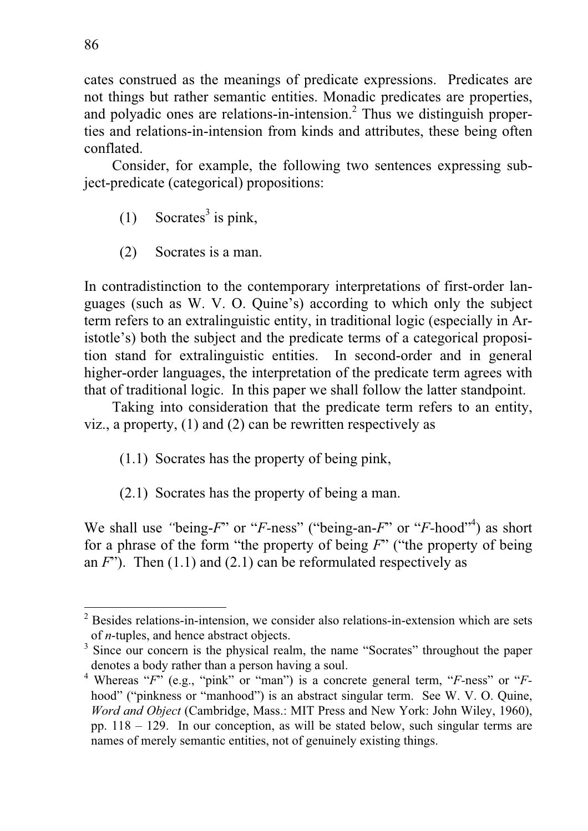cates construed as the meanings of predicate expressions. Predicates are not things but rather semantic entities. Monadic predicates are properties, and polyadic ones are relations-in-intension.<sup>2</sup> Thus we distinguish properties and relations-in-intension from kinds and attributes, these being often conflated.

Consider, for example, the following two sentences expressing subject-predicate (categorical) propositions:

- $(1)$  Socrates<sup>3</sup> is pink,
	- (2) Socrates is a man.

In contradistinction to the contemporary interpretations of first-order languages (such as W. V. O. Quine's) according to which only the subject term refers to an extralinguistic entity, in traditional logic (especially in Aristotle's) both the subject and the predicate terms of a categorical proposition stand for extralinguistic entities. In second-order and in general higher-order languages, the interpretation of the predicate term agrees with that of traditional logic. In this paper we shall follow the latter standpoint.

 Taking into consideration that the predicate term refers to an entity, viz., a property, (1) and (2) can be rewritten respectively as

(1.1) Socrates has the property of being pink,

(2.1) Socrates has the property of being a man.

We shall use "being-*F*" or "*F*-ness" ("being-an-*F*" or "*F*-hood"<sup>4</sup>) as short for a phrase of the form "the property of being *F*" ("the property of being an  $F$ "). Then  $(1.1)$  and  $(2.1)$  can be reformulated respectively as

 $2$  Besides relations-in-intension, we consider also relations-in-extension which are sets of *n*-tuples, and hence abstract objects.

<sup>&</sup>lt;sup>3</sup> Since our concern is the physical realm, the name "Socrates" throughout the paper denotes a body rather than a person having a soul.

<sup>&</sup>lt;sup>4</sup> Whereas "F" (e.g., "pink" or "man") is a concrete general term, "F-ness" or "Fhood" ("pinkness or "manhood") is an abstract singular term. See W. V. O. Quine, *Word and Object* (Cambridge, Mass.: MIT Press and New York: John Wiley, 1960), pp. 118 – 129. In our conception, as will be stated below, such singular terms are names of merely semantic entities, not of genuinely existing things.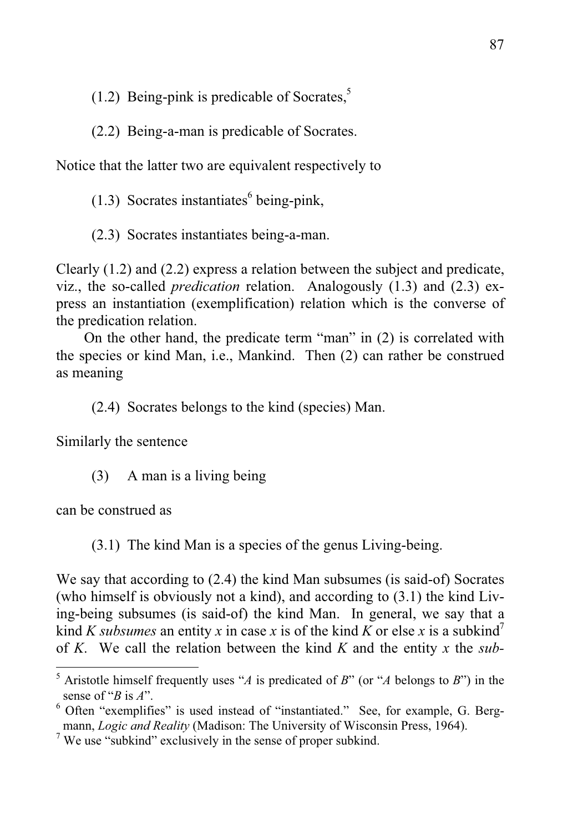(1.2) Being-pink is predicable of Socrates.<sup>5</sup>

(2.2) Being-a-man is predicable of Socrates.

Notice that the latter two are equivalent respectively to

 $(1.3)$  Socrates instantiates<sup>6</sup> being-pink,

(2.3) Socrates instantiates being-a-man.

Clearly (1.2) and (2.2) express a relation between the subject and predicate, viz., the so-called *predication* relation. Analogously (1.3) and (2.3) express an instantiation (exemplification) relation which is the converse of the predication relation.

 On the other hand, the predicate term "man" in (2) is correlated with the species or kind Man, i.e., Mankind. Then (2) can rather be construed as meaning

(2.4) Socrates belongs to the kind (species) Man.

Similarly the sentence

(3) A man is a living being

can be construed as

 $\overline{a}$ 

(3.1) The kind Man is a species of the genus Living-being.

We say that according to (2.4) the kind Man subsumes (is said-of) Socrates (who himself is obviously not a kind), and according to (3.1) the kind Living-being subsumes (is said-of) the kind Man. In general, we say that a kind *K subsumes* an entity *x* in case *x* is of the kind *K* or else *x* is a subkind<sup>7</sup> of *K*. We call the relation between the kind *K* and the entity *x* the *sub-*

<sup>5</sup> Aristotle himself frequently uses "*A* is predicated of *B*" (or "*A* belongs to *B*") in the sense of "*B* is *A*".

<sup>&</sup>lt;sup>6</sup> Often "exemplifies" is used instead of "instantiated." See, for example, G. Bergmann, *Logic and Reality* (Madison: The University of Wisconsin Press, 1964).

 $7$  We use "subkind" exclusively in the sense of proper subkind.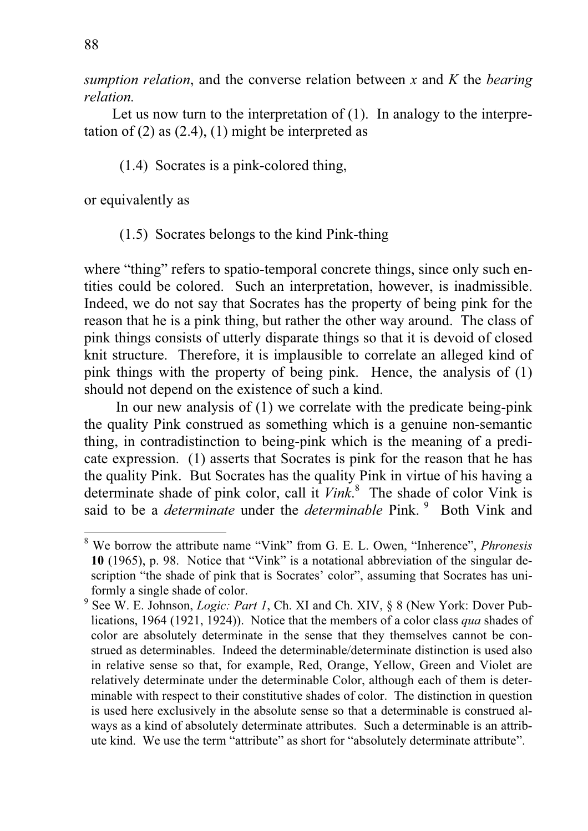*sumption relation*, and the converse relation between *x* and *K* the *bearing relation.*

Let us now turn to the interpretation of (1). In analogy to the interpretation of  $(2)$  as  $(2.4)$ ,  $(1)$  might be interpreted as

(1.4) Socrates is a pink-colored thing,

or equivalently as

(1.5) Socrates belongs to the kind Pink-thing

where "thing" refers to spatio-temporal concrete things, since only such entities could be colored. Such an interpretation, however, is inadmissible. Indeed, we do not say that Socrates has the property of being pink for the reason that he is a pink thing, but rather the other way around. The class of pink things consists of utterly disparate things so that it is devoid of closed knit structure. Therefore, it is implausible to correlate an alleged kind of pink things with the property of being pink. Hence, the analysis of (1) should not depend on the existence of such a kind.

 In our new analysis of (1) we correlate with the predicate being-pink the quality Pink construed as something which is a genuine non-semantic thing, in contradistinction to being-pink which is the meaning of a predicate expression. (1) asserts that Socrates is pink for the reason that he has the quality Pink. But Socrates has the quality Pink in virtue of his having a determinate shade of pink color, call it *Vink*. 8 The shade of color Vink is said to be a *determinate* under the *determinable* Pink.<sup>9</sup> Both Vink and

<sup>8</sup> We borrow the attribute name "Vink" from G. E. L. Owen, "Inherence", *Phronesis* **10** (1965), p. 98. Notice that "Vink" is a notational abbreviation of the singular description "the shade of pink that is Socrates' color", assuming that Socrates has uniformly a single shade of color.

<sup>9</sup> See W. E. Johnson, *Logic: Part 1*, Ch. XI and Ch. XIV, § 8 (New York: Dover Publications, 1964 (1921, 1924)). Notice that the members of a color class *qua* shades of color are absolutely determinate in the sense that they themselves cannot be construed as determinables. Indeed the determinable/determinate distinction is used also in relative sense so that, for example, Red, Orange, Yellow, Green and Violet are relatively determinate under the determinable Color, although each of them is determinable with respect to their constitutive shades of color. The distinction in question is used here exclusively in the absolute sense so that a determinable is construed always as a kind of absolutely determinate attributes. Such a determinable is an attribute kind. We use the term "attribute" as short for "absolutely determinate attribute".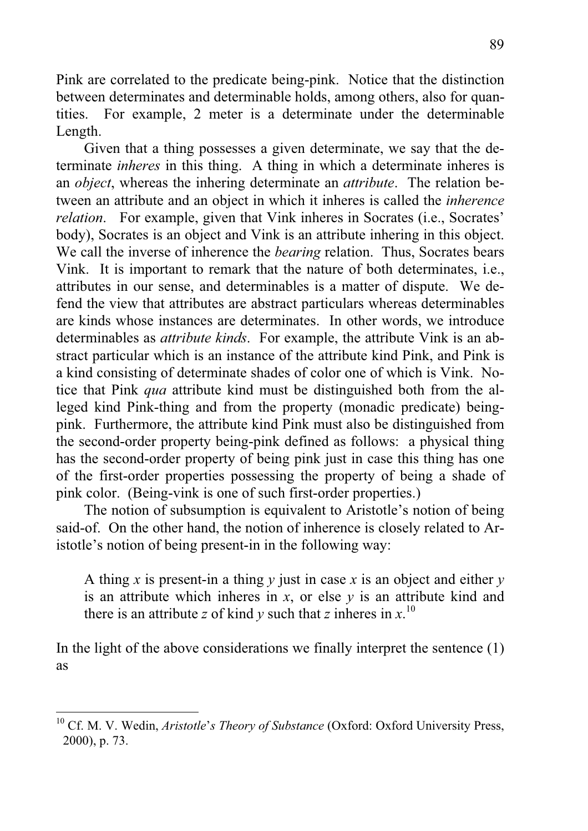Pink are correlated to the predicate being-pink. Notice that the distinction between determinates and determinable holds, among others, also for quantities. For example, 2 meter is a determinate under the determinable Length.

 Given that a thing possesses a given determinate, we say that the determinate *inheres* in this thing. A thing in which a determinate inheres is an *object*, whereas the inhering determinate an *attribute*. The relation between an attribute and an object in which it inheres is called the *inherence relation.* For example, given that Vink inheres in Socrates (i.e., Socrates' body), Socrates is an object and Vink is an attribute inhering in this object. We call the inverse of inherence the *bearing* relation. Thus, Socrates bears Vink. It is important to remark that the nature of both determinates, i.e., attributes in our sense, and determinables is a matter of dispute. We defend the view that attributes are abstract particulars whereas determinables are kinds whose instances are determinates. In other words, we introduce determinables as *attribute kinds*. For example, the attribute Vink is an abstract particular which is an instance of the attribute kind Pink, and Pink is a kind consisting of determinate shades of color one of which is Vink. Notice that Pink *qua* attribute kind must be distinguished both from the alleged kind Pink-thing and from the property (monadic predicate) beingpink. Furthermore, the attribute kind Pink must also be distinguished from the second-order property being-pink defined as follows: a physical thing has the second-order property of being pink just in case this thing has one of the first-order properties possessing the property of being a shade of pink color. (Being-vink is one of such first-order properties.)

 The notion of subsumption is equivalent to Aristotle's notion of being said-of. On the other hand, the notion of inherence is closely related to Aristotle's notion of being present-in in the following way:

A thing *x* is present-in a thing *y* just in case *x* is an object and either *y* is an attribute which inheres in  $x$ , or else  $y$  is an attribute kind and there is an attribute *z* of kind *y* such that *z* inheres in  $x$ .<sup>10</sup>

In the light of the above considerations we finally interpret the sentence (1) as

<sup>&</sup>lt;sup>10</sup> Cf. M. V. Wedin, *Aristotle's Theory of Substance* (Oxford: Oxford University Press, 2000), p. 73.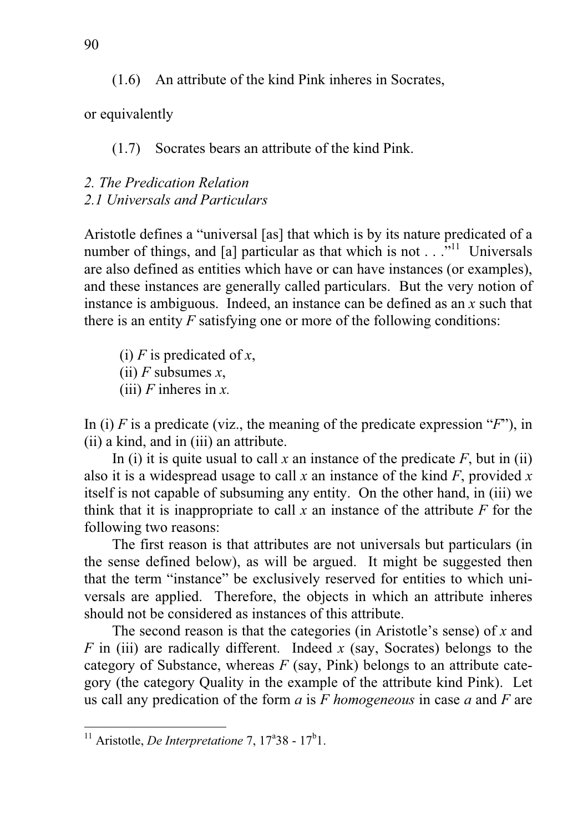(1.6) An attribute of the kind Pink inheres in Socrates,

or equivalently

(1.7) Socrates bears an attribute of the kind Pink.

## *2. The Predication Relation 2.1 Universals and Particulars*

Aristotle defines a "universal [as] that which is by its nature predicated of a number of things, and [a] particular as that which is not  $\ldots$ <sup>5,11</sup> Universals are also defined as entities which have or can have instances (or examples), and these instances are generally called particulars. But the very notion of instance is ambiguous. Indeed, an instance can be defined as an *x* such that there is an entity *F* satisfying one or more of the following conditions:

(i) *F* is predicated of *x*,

(ii) *F* subsumes *x*,

(iii) *F* inheres in *x.*

In (i) *F* is a predicate (viz., the meaning of the predicate expression "*F*"), in (ii) a kind, and in (iii) an attribute.

In (i) it is quite usual to call x an instance of the predicate  $F$ , but in (ii) also it is a widespread usage to call *x* an instance of the kind *F*, provided *x* itself is not capable of subsuming any entity. On the other hand, in (iii) we think that it is inappropriate to call  $x$  an instance of the attribute  $F$  for the following two reasons:

 The first reason is that attributes are not universals but particulars (in the sense defined below), as will be argued. It might be suggested then that the term "instance" be exclusively reserved for entities to which universals are applied. Therefore, the objects in which an attribute inheres should not be considered as instances of this attribute.

 The second reason is that the categories (in Aristotle's sense) of *x* and *F* in (iii) are radically different. Indeed *x* (say, Socrates) belongs to the category of Substance, whereas *F* (say, Pink) belongs to an attribute category (the category Quality in the example of the attribute kind Pink). Let us call any predication of the form *a* is *F homogeneous* in case *a* and *F* are

<sup>&</sup>lt;sup>11</sup> Aristotle, *De Interpretatione* 7,  $17^{\circ}38 - 17^{\circ}1$ .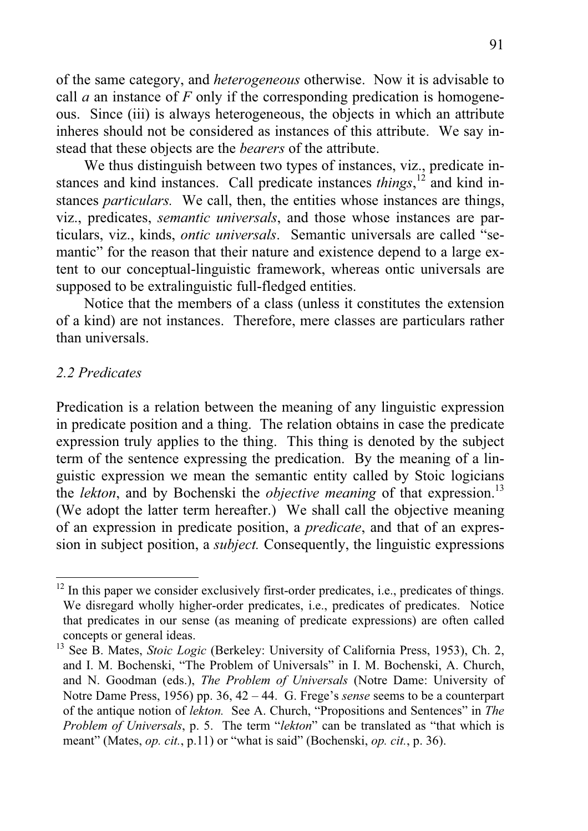of the same category, and *heterogeneous* otherwise. Now it is advisable to call *a* an instance of *F* only if the corresponding predication is homogeneous. Since (iii) is always heterogeneous, the objects in which an attribute inheres should not be considered as instances of this attribute. We say instead that these objects are the *bearers* of the attribute.

 We thus distinguish between two types of instances, viz., predicate instances and kind instances. Call predicate instances *things*,<sup>12</sup> and kind instances *particulars.* We call, then, the entities whose instances are things, viz., predicates, *semantic universals*, and those whose instances are particulars, viz., kinds, *ontic universals*. Semantic universals are called "semantic" for the reason that their nature and existence depend to a large extent to our conceptual-linguistic framework, whereas ontic universals are supposed to be extralinguistic full-fledged entities.

 Notice that the members of a class (unless it constitutes the extension of a kind) are not instances. Therefore, mere classes are particulars rather than universals.

## *2.2 Predicates*

 $\overline{a}$ 

Predication is a relation between the meaning of any linguistic expression in predicate position and a thing. The relation obtains in case the predicate expression truly applies to the thing. This thing is denoted by the subject term of the sentence expressing the predication. By the meaning of a linguistic expression we mean the semantic entity called by Stoic logicians the *lekton*, and by Bochenski the *objective meaning* of that expression.<sup>13</sup> (We adopt the latter term hereafter.) We shall call the objective meaning of an expression in predicate position, a *predicate*, and that of an expression in subject position, a *subject.* Consequently, the linguistic expressions

 $12$  In this paper we consider exclusively first-order predicates, i.e., predicates of things. We disregard wholly higher-order predicates, i.e., predicates of predicates. Notice that predicates in our sense (as meaning of predicate expressions) are often called concepts or general ideas.

<sup>&</sup>lt;sup>13</sup> See B. Mates, *Stoic Logic* (Berkeley: University of California Press, 1953), Ch. 2, and I. M. Bochenski, "The Problem of Universals" in I. M. Bochenski, A. Church, and N. Goodman (eds.), *The Problem of Universals* (Notre Dame: University of Notre Dame Press, 1956) pp. 36, 42 – 44. G. Frege's *sense* seems to be a counterpart of the antique notion of *lekton.* See A. Church, "Propositions and Sentences" in *The Problem of Universals*, p. 5. The term "*lekton*" can be translated as "that which is meant" (Mates, *op. cit.*, p.11) or "what is said" (Bochenski, *op. cit.*, p. 36).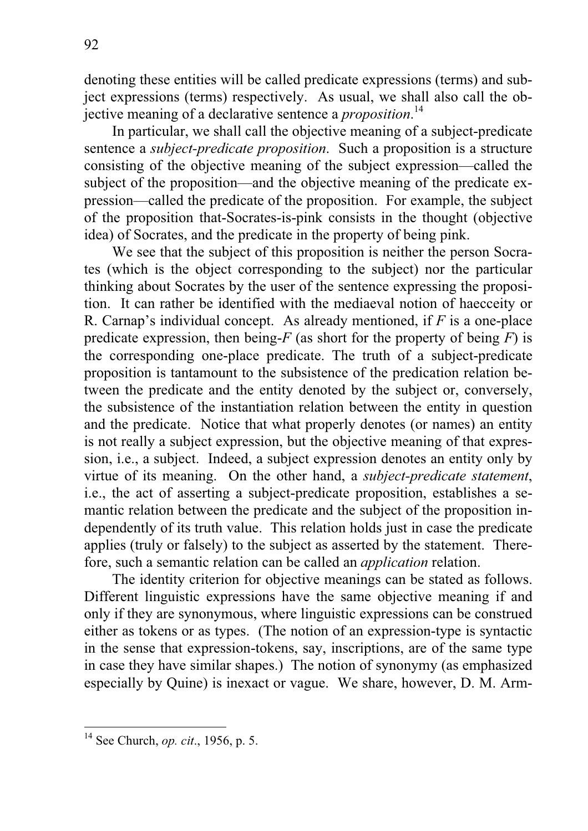denoting these entities will be called predicate expressions (terms) and subject expressions (terms) respectively. As usual, we shall also call the objective meaning of a declarative sentence a *proposition*. 14

 In particular, we shall call the objective meaning of a subject-predicate sentence a *subject-predicate proposition*. Such a proposition is a structure consisting of the objective meaning of the subject expression—called the subject of the proposition—and the objective meaning of the predicate expression—called the predicate of the proposition. For example, the subject of the proposition that-Socrates-is-pink consists in the thought (objective idea) of Socrates, and the predicate in the property of being pink.

 We see that the subject of this proposition is neither the person Socrates (which is the object corresponding to the subject) nor the particular thinking about Socrates by the user of the sentence expressing the proposition. It can rather be identified with the mediaeval notion of haecceity or R. Carnap's individual concept. As already mentioned, if *F* is a one-place predicate expression, then being- $F$  (as short for the property of being  $F$ ) is the corresponding one-place predicate. The truth of a subject-predicate proposition is tantamount to the subsistence of the predication relation between the predicate and the entity denoted by the subject or, conversely, the subsistence of the instantiation relation between the entity in question and the predicate. Notice that what properly denotes (or names) an entity is not really a subject expression, but the objective meaning of that expression, i.e., a subject. Indeed, a subject expression denotes an entity only by virtue of its meaning. On the other hand, a *subject-predicate statement*, i.e., the act of asserting a subject-predicate proposition, establishes a semantic relation between the predicate and the subject of the proposition independently of its truth value. This relation holds just in case the predicate applies (truly or falsely) to the subject as asserted by the statement. Therefore, such a semantic relation can be called an *application* relation.

 The identity criterion for objective meanings can be stated as follows. Different linguistic expressions have the same objective meaning if and only if they are synonymous, where linguistic expressions can be construed either as tokens or as types. (The notion of an expression-type is syntactic in the sense that expression-tokens, say, inscriptions, are of the same type in case they have similar shapes.) The notion of synonymy (as emphasized especially by Quine) is inexact or vague. We share, however, D. M. Arm-

<sup>14</sup> See Church, *op. cit*., 1956, p. 5.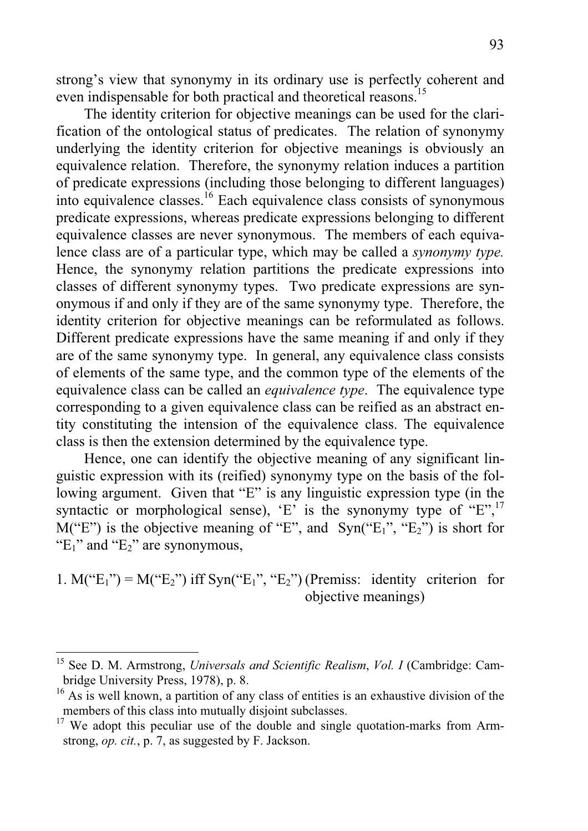strong's view that synonymy in its ordinary use is perfectly coherent and even indispensable for both practical and theoretical reasons.<sup>15</sup>

 The identity criterion for objective meanings can be used for the clarification of the ontological status of predicates. The relation of synonymy underlying the identity criterion for objective meanings is obviously an equivalence relation. Therefore, the synonymy relation induces a partition of predicate expressions (including those belonging to different languages) into equivalence classes.16 Each equivalence class consists of synonymous predicate expressions, whereas predicate expressions belonging to different equivalence classes are never synonymous. The members of each equivalence class are of a particular type, which may be called a *synonymy type.*  Hence, the synonymy relation partitions the predicate expressions into classes of different synonymy types. Two predicate expressions are synonymous if and only if they are of the same synonymy type. Therefore, the identity criterion for objective meanings can be reformulated as follows. Different predicate expressions have the same meaning if and only if they are of the same synonymy type. In general, any equivalence class consists of elements of the same type, and the common type of the elements of the equivalence class can be called an *equivalence type*. The equivalence type corresponding to a given equivalence class can be reified as an abstract entity constituting the intension of the equivalence class. The equivalence class is then the extension determined by the equivalence type.

 Hence, one can identify the objective meaning of any significant linguistic expression with its (reified) synonymy type on the basis of the following argument. Given that "E" is any linguistic expression type (in the syntactic or morphological sense), 'E' is the synonymy type of "E",<sup>17</sup>  $M("E")$  is the objective meaning of "E", and  $Sym("E_1", "E_2")$  is short for " $E_1$ " and " $E_2$ " are synonymous,

1.  $M("E<sub>1</sub>") = M("E<sub>2</sub>")$  iff Syn(" $E<sub>1</sub>$ ", " $E<sub>2</sub>$ ") (Premiss: identity criterion for objective meanings)

<sup>15</sup> See D. M. Armstrong, *Universals and Scientific Realism*, *Vol. I* (Cambridge: Cambridge University Press, 1978), p. 8.

<sup>&</sup>lt;sup>16</sup> As is well known, a partition of any class of entities is an exhaustive division of the members of this class into mutually disjoint subclasses.

 $17$  We adopt this peculiar use of the double and single quotation-marks from Armstrong, *op. cit.*, p. 7, as suggested by F. Jackson.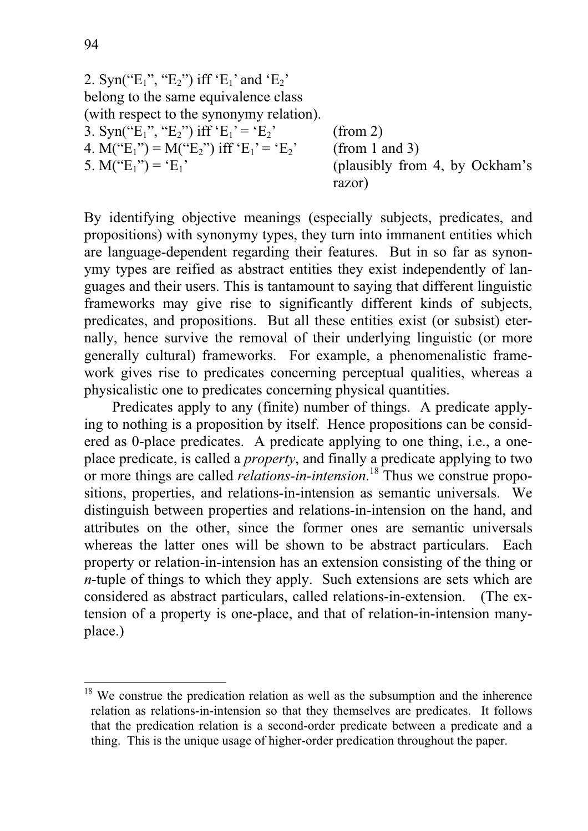\n- 2. 
$$
Syn("E_1", "E_2")
$$
 iff  $'E_1$  and  $'E_2$  belong to the same equivalence class (with respect to the synonymy relation).
\n- 3.  $Syn("E_1", "E_2")$  iff  $'E_1' = 'E_2'$  (from 2)
\n- 4.  $M("E_1") = M("E_2")$  iff  $'E_1' = 'E_2'$  (from 1 and 3)
\n- 5.  $M("E_1") = 'E_1'$  (plausibly from 4, by Ockham's razor)
\n

By identifying objective meanings (especially subjects, predicates, and propositions) with synonymy types, they turn into immanent entities which are language-dependent regarding their features. But in so far as synonymy types are reified as abstract entities they exist independently of languages and their users. This is tantamount to saying that different linguistic frameworks may give rise to significantly different kinds of subjects, predicates, and propositions. But all these entities exist (or subsist) eternally, hence survive the removal of their underlying linguistic (or more generally cultural) frameworks. For example, a phenomenalistic framework gives rise to predicates concerning perceptual qualities, whereas a physicalistic one to predicates concerning physical quantities.

 Predicates apply to any (finite) number of things. A predicate applying to nothing is a proposition by itself. Hence propositions can be considered as 0-place predicates. A predicate applying to one thing, i.e., a oneplace predicate, is called a *property*, and finally a predicate applying to two or more things are called *relations-in-intension*. 18 Thus we construe propositions, properties, and relations-in-intension as semantic universals. We distinguish between properties and relations-in-intension on the hand, and attributes on the other, since the former ones are semantic universals whereas the latter ones will be shown to be abstract particulars. Each property or relation-in-intension has an extension consisting of the thing or *n*-tuple of things to which they apply. Such extensions are sets which are considered as abstract particulars, called relations-in-extension. (The extension of a property is one-place, and that of relation-in-intension manyplace.)

<sup>&</sup>lt;sup>18</sup> We construe the predication relation as well as the subsumption and the inherence relation as relations-in-intension so that they themselves are predicates. It follows that the predication relation is a second-order predicate between a predicate and a thing. This is the unique usage of higher-order predication throughout the paper.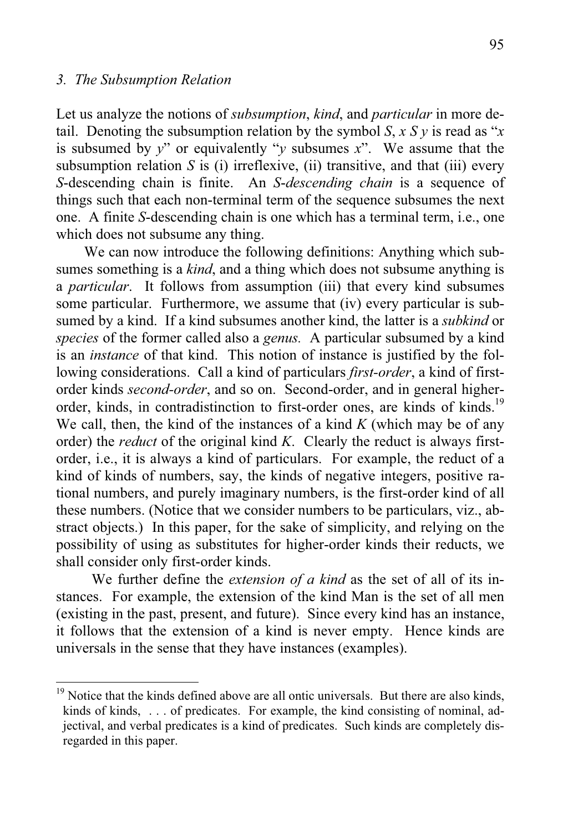#### *3. The Subsumption Relation*

 $\overline{a}$ 

Let us analyze the notions of *subsumption*, *kind*, and *particular* in more detail. Denoting the subsumption relation by the symbol *S*, *x S v* is read as "*x* is subsumed by *y*" or equivalently "*y* subsumes *x*". We assume that the subsumption relation  $S$  is (i) irreflexive, (ii) transitive, and that (iii) every *S*-descending chain is finite. An *S*-*descending chain* is a sequence of things such that each non-terminal term of the sequence subsumes the next one. A finite *S*-descending chain is one which has a terminal term, i.e., one which does not subsume any thing.

 We can now introduce the following definitions: Anything which subsumes something is a *kind*, and a thing which does not subsume anything is a *particular*. It follows from assumption (iii) that every kind subsumes some particular. Furthermore, we assume that (iv) every particular is subsumed by a kind. If a kind subsumes another kind, the latter is a *subkind* or *species* of the former called also a *genus.* A particular subsumed by a kind is an *instance* of that kind. This notion of instance is justified by the following considerations. Call a kind of particulars *first-order*, a kind of firstorder kinds *second-order*, and so on. Second-order, and in general higherorder, kinds, in contradistinction to first-order ones, are kinds of kinds.<sup>19</sup> We call, then, the kind of the instances of a kind *K* (which may be of any order) the *reduct* of the original kind *K*. Clearly the reduct is always firstorder, i.e., it is always a kind of particulars. For example, the reduct of a kind of kinds of numbers, say, the kinds of negative integers, positive rational numbers, and purely imaginary numbers, is the first-order kind of all these numbers. (Notice that we consider numbers to be particulars, viz., abstract objects.) In this paper, for the sake of simplicity, and relying on the possibility of using as substitutes for higher-order kinds their reducts, we shall consider only first-order kinds.

We further define the *extension of a kind* as the set of all of its instances. For example, the extension of the kind Man is the set of all men (existing in the past, present, and future). Since every kind has an instance, it follows that the extension of a kind is never empty. Hence kinds are universals in the sense that they have instances (examples).

<sup>&</sup>lt;sup>19</sup> Notice that the kinds defined above are all ontic universals. But there are also kinds, kinds of kinds, . . . of predicates. For example, the kind consisting of nominal, adjectival, and verbal predicates is a kind of predicates. Such kinds are completely disregarded in this paper.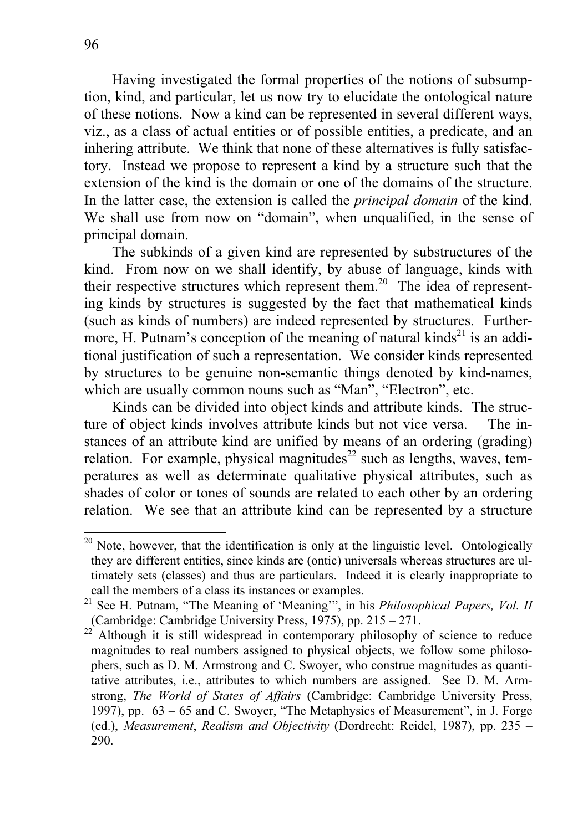Having investigated the formal properties of the notions of subsumption, kind, and particular, let us now try to elucidate the ontological nature of these notions. Now a kind can be represented in several different ways, viz., as a class of actual entities or of possible entities, a predicate, and an inhering attribute. We think that none of these alternatives is fully satisfactory. Instead we propose to represent a kind by a structure such that the extension of the kind is the domain or one of the domains of the structure. In the latter case, the extension is called the *principal domain* of the kind. We shall use from now on "domain", when unqualified, in the sense of principal domain.

 The subkinds of a given kind are represented by substructures of the kind. From now on we shall identify, by abuse of language, kinds with their respective structures which represent them.<sup>20</sup> The idea of representing kinds by structures is suggested by the fact that mathematical kinds (such as kinds of numbers) are indeed represented by structures. Furthermore, H. Putnam's conception of the meaning of natural kinds<sup>21</sup> is an additional justification of such a representation. We consider kinds represented by structures to be genuine non-semantic things denoted by kind-names, which are usually common nouns such as "Man", "Electron", etc.

 Kinds can be divided into object kinds and attribute kinds. The structure of object kinds involves attribute kinds but not vice versa. The instances of an attribute kind are unified by means of an ordering (grading) relation. For example, physical magnitudes<sup>22</sup> such as lengths, waves, temperatures as well as determinate qualitative physical attributes, such as shades of color or tones of sounds are related to each other by an ordering relation. We see that an attribute kind can be represented by a structure

 $20$  Note, however, that the identification is only at the linguistic level. Ontologically they are different entities, since kinds are (ontic) universals whereas structures are ultimately sets (classes) and thus are particulars. Indeed it is clearly inappropriate to call the members of a class its instances or examples.

<sup>&</sup>lt;sup>21</sup> See H. Putnam, "The Meaning of 'Meaning'", in his *Philosophical Papers, Vol. II* (Cambridge: Cambridge University Press, 1975), pp. 215 – 271.

<sup>&</sup>lt;sup>22</sup> Although it is still widespread in contemporary philosophy of science to reduce magnitudes to real numbers assigned to physical objects, we follow some philosophers, such as D. M. Armstrong and C. Swoyer, who construe magnitudes as quantitative attributes, i.e., attributes to which numbers are assigned. See D. M. Armstrong, *The World of States of Affairs* (Cambridge: Cambridge University Press, 1997), pp. 63 – 65 and C. Swoyer, "The Metaphysics of Measurement", in J. Forge (ed.), *Measurement*, *Realism and Objectivity* (Dordrecht: Reidel, 1987), pp. 235 – 290.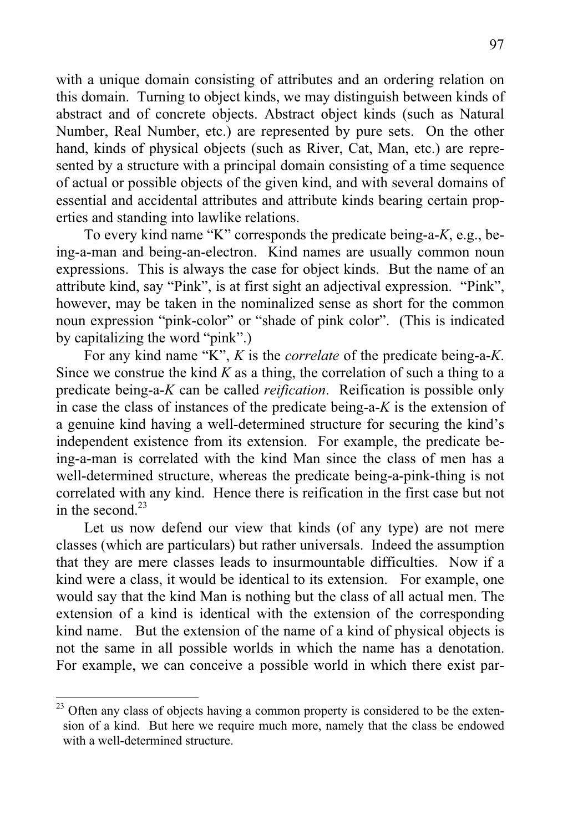with a unique domain consisting of attributes and an ordering relation on this domain. Turning to object kinds, we may distinguish between kinds of abstract and of concrete objects. Abstract object kinds (such as Natural Number, Real Number, etc.) are represented by pure sets. On the other hand, kinds of physical objects (such as River, Cat, Man, etc.) are represented by a structure with a principal domain consisting of a time sequence of actual or possible objects of the given kind, and with several domains of essential and accidental attributes and attribute kinds bearing certain properties and standing into lawlike relations.

 To every kind name "K" corresponds the predicate being-a-*K*, e.g., being-a-man and being-an-electron. Kind names are usually common noun expressions. This is always the case for object kinds. But the name of an attribute kind, say "Pink", is at first sight an adjectival expression. "Pink", however, may be taken in the nominalized sense as short for the common noun expression "pink-color" or "shade of pink color". (This is indicated by capitalizing the word "pink".)

 For any kind name "K", *K* is the *correlate* of the predicate being-a-*K*. Since we construe the kind *K* as a thing, the correlation of such a thing to a predicate being-a-*K* can be called *reification*. Reification is possible only in case the class of instances of the predicate being-a-*K* is the extension of a genuine kind having a well-determined structure for securing the kind's independent existence from its extension. For example, the predicate being-a-man is correlated with the kind Man since the class of men has a well-determined structure, whereas the predicate being-a-pink-thing is not correlated with any kind. Hence there is reification in the first case but not in the second. $23$ 

 Let us now defend our view that kinds (of any type) are not mere classes (which are particulars) but rather universals. Indeed the assumption that they are mere classes leads to insurmountable difficulties. Now if a kind were a class, it would be identical to its extension. For example, one would say that the kind Man is nothing but the class of all actual men. The extension of a kind is identical with the extension of the corresponding kind name. But the extension of the name of a kind of physical objects is not the same in all possible worlds in which the name has a denotation. For example, we can conceive a possible world in which there exist par-

 $23$  Often any class of objects having a common property is considered to be the extension of a kind. But here we require much more, namely that the class be endowed with a well-determined structure.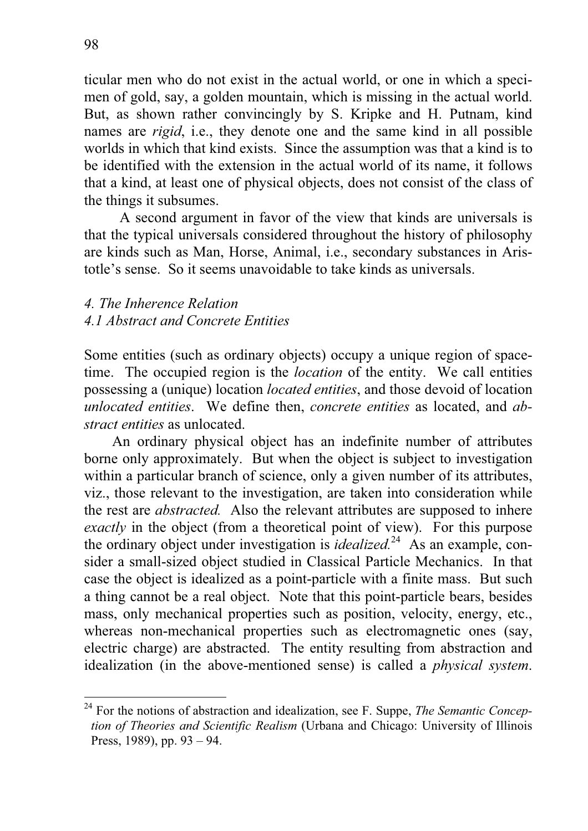ticular men who do not exist in the actual world, or one in which a specimen of gold, say, a golden mountain, which is missing in the actual world. But, as shown rather convincingly by S. Kripke and H. Putnam, kind names are *rigid*, i.e., they denote one and the same kind in all possible worlds in which that kind exists. Since the assumption was that a kind is to be identified with the extension in the actual world of its name, it follows that a kind, at least one of physical objects, does not consist of the class of the things it subsumes.

 A second argument in favor of the view that kinds are universals is that the typical universals considered throughout the history of philosophy are kinds such as Man, Horse, Animal, i.e., secondary substances in Aristotle's sense. So it seems unavoidable to take kinds as universals.

## *4. The Inherence Relation 4.1 Abstract and Concrete Entities*

Some entities (such as ordinary objects) occupy a unique region of spacetime. The occupied region is the *location* of the entity. We call entities possessing a (unique) location *located entities*, and those devoid of location *unlocated entities*. We define then, *concrete entities* as located, and *abstract entities* as unlocated.

An ordinary physical object has an indefinite number of attributes borne only approximately. But when the object is subject to investigation within a particular branch of science, only a given number of its attributes, viz., those relevant to the investigation, are taken into consideration while the rest are *abstracted.* Also the relevant attributes are supposed to inhere *exactly* in the object (from a theoretical point of view). For this purpose the ordinary object under investigation is *idealized.*24 As an example, consider a small-sized object studied in Classical Particle Mechanics. In that case the object is idealized as a point-particle with a finite mass. But such a thing cannot be a real object. Note that this point-particle bears, besides mass, only mechanical properties such as position, velocity, energy, etc., whereas non-mechanical properties such as electromagnetic ones (say, electric charge) are abstracted. The entity resulting from abstraction and idealization (in the above-mentioned sense) is called a *physical system*.

<sup>24</sup> For the notions of abstraction and idealization, see F. Suppe, *The Semantic Conception of Theories and Scientific Realism* (Urbana and Chicago: University of Illinois Press, 1989), pp. 93 – 94.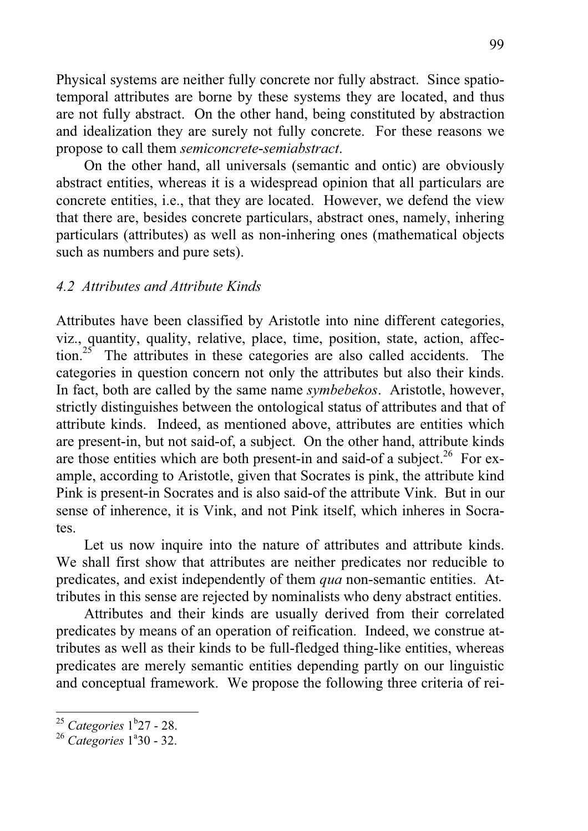Physical systems are neither fully concrete nor fully abstract. Since spatiotemporal attributes are borne by these systems they are located, and thus are not fully abstract. On the other hand, being constituted by abstraction and idealization they are surely not fully concrete. For these reasons we propose to call them *semiconcrete*-*semiabstract*.

On the other hand, all universals (semantic and ontic) are obviously abstract entities, whereas it is a widespread opinion that all particulars are concrete entities, i.e., that they are located. However, we defend the view that there are, besides concrete particulars, abstract ones, namely, inhering particulars (attributes) as well as non-inhering ones (mathematical objects such as numbers and pure sets).

## *4.2 Attributes and Attribute Kinds*

Attributes have been classified by Aristotle into nine different categories, viz., quantity, quality, relative, place, time, position, state, action, affection.<sup>25</sup> The attributes in these categories are also called accidents. The categories in question concern not only the attributes but also their kinds. In fact, both are called by the same name *symbebekos*. Aristotle, however, strictly distinguishes between the ontological status of attributes and that of attribute kinds. Indeed, as mentioned above, attributes are entities which are present-in, but not said-of, a subject. On the other hand, attribute kinds are those entities which are both present-in and said-of a subject.<sup>26</sup> For example, according to Aristotle, given that Socrates is pink, the attribute kind Pink is present-in Socrates and is also said-of the attribute Vink. But in our sense of inherence, it is Vink, and not Pink itself, which inheres in Socrates.

 Let us now inquire into the nature of attributes and attribute kinds. We shall first show that attributes are neither predicates nor reducible to predicates, and exist independently of them *qua* non-semantic entities. Attributes in this sense are rejected by nominalists who deny abstract entities.

 Attributes and their kinds are usually derived from their correlated predicates by means of an operation of reification. Indeed, we construe attributes as well as their kinds to be full-fledged thing-like entities, whereas predicates are merely semantic entities depending partly on our linguistic and conceptual framework. We propose the following three criteria of rei-

<sup>&</sup>lt;sup>25</sup> Categories 1<sup>b</sup>27 - 28.

<sup>&</sup>lt;sup>26</sup> Categories 1<sup>a</sup>30 - 32.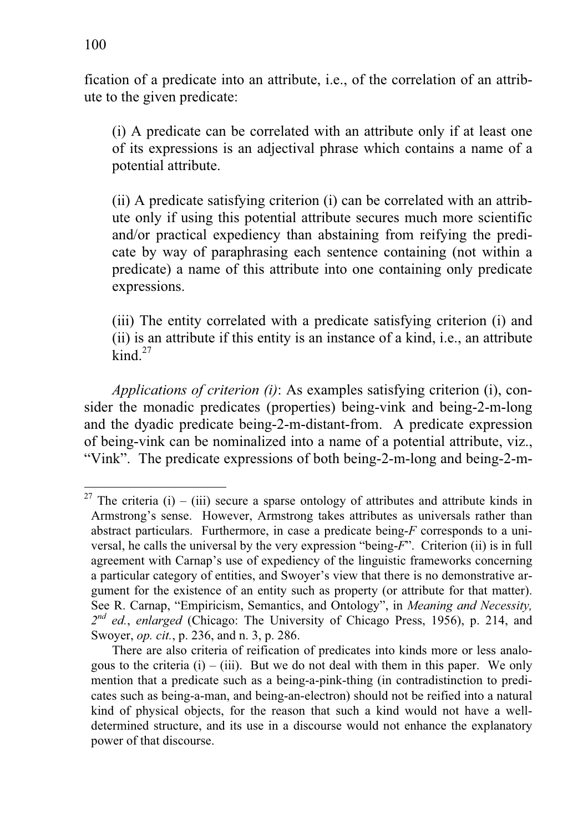fication of a predicate into an attribute, i.e., of the correlation of an attribute to the given predicate:

(i) A predicate can be correlated with an attribute only if at least one of its expressions is an adjectival phrase which contains a name of a potential attribute.

 (ii) A predicate satisfying criterion (i) can be correlated with an attribute only if using this potential attribute secures much more scientific and/or practical expediency than abstaining from reifying the predicate by way of paraphrasing each sentence containing (not within a predicate) a name of this attribute into one containing only predicate expressions.

 (iii) The entity correlated with a predicate satisfying criterion (i) and (ii) is an attribute if this entity is an instance of a kind, i.e., an attribute  $\mathrm{kind.}^{27}$ 

*Applications of criterion (i)*: As examples satisfying criterion (i), consider the monadic predicates (properties) being-vink and being-2-m-long and the dyadic predicate being-2-m-distant-from. A predicate expression of being-vink can be nominalized into a name of a potential attribute, viz., "Vink". The predicate expressions of both being-2-m-long and being-2-m-

<sup>&</sup>lt;sup>27</sup> The criteria (i) – (iii) secure a sparse ontology of attributes and attribute kinds in Armstrong's sense. However, Armstrong takes attributes as universals rather than abstract particulars. Furthermore, in case a predicate being-*F* corresponds to a universal, he calls the universal by the very expression "being-*F*". Criterion (ii) is in full agreement with Carnap's use of expediency of the linguistic frameworks concerning a particular category of entities, and Swoyer's view that there is no demonstrative argument for the existence of an entity such as property (or attribute for that matter). See R. Carnap, "Empiricism, Semantics, and Ontology", in *Meaning and Necessity, 2nd ed.*, *enlarged* (Chicago: The University of Chicago Press, 1956), p. 214, and Swoyer, *op. cit.*, p. 236, and n. 3, p. 286.

There are also criteria of reification of predicates into kinds more or less analogous to the criteria  $(i) - (iii)$ . But we do not deal with them in this paper. We only mention that a predicate such as a being-a-pink-thing (in contradistinction to predicates such as being-a-man, and being-an-electron) should not be reified into a natural kind of physical objects, for the reason that such a kind would not have a welldetermined structure, and its use in a discourse would not enhance the explanatory power of that discourse.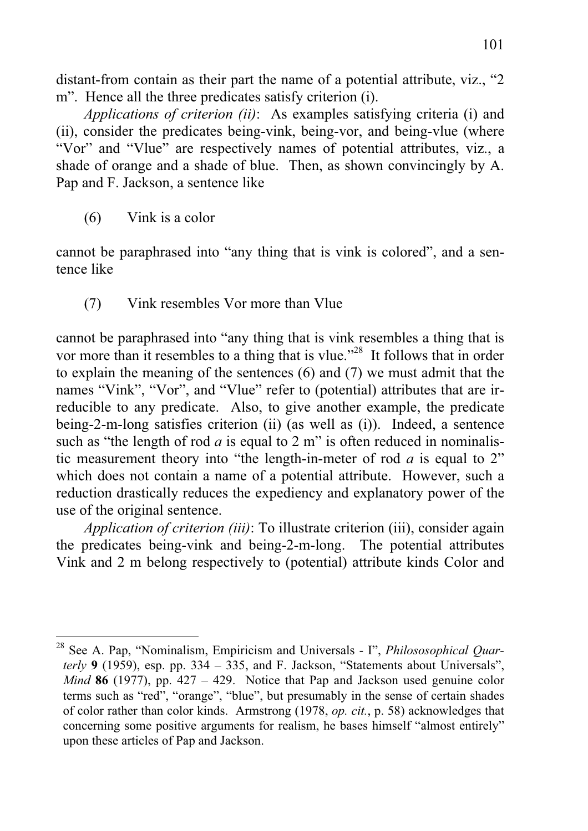distant-from contain as their part the name of a potential attribute, viz., "2 m". Hence all the three predicates satisfy criterion (i).

*Applications of criterion (ii)*: As examples satisfying criteria (i) and (ii), consider the predicates being-vink, being-vor, and being-vlue (where "Vor" and "Vlue" are respectively names of potential attributes, viz., a shade of orange and a shade of blue. Then, as shown convincingly by A. Pap and F. Jackson, a sentence like

(6) Vink is a color

 $\overline{a}$ 

cannot be paraphrased into "any thing that is vink is colored", and a sentence like

(7) Vink resembles Vor more than Vlue

cannot be paraphrased into "any thing that is vink resembles a thing that is vor more than it resembles to a thing that is vlue."<sup>28</sup> It follows that in order to explain the meaning of the sentences (6) and (7) we must admit that the names "Vink", "Vor", and "Vlue" refer to (potential) attributes that are irreducible to any predicate. Also, to give another example, the predicate being-2-m-long satisfies criterion (ii) (as well as (i)). Indeed, a sentence such as "the length of rod  $a$  is equal to  $2 \text{ m}$ " is often reduced in nominalistic measurement theory into "the length-in-meter of rod *a* is equal to 2" which does not contain a name of a potential attribute. However, such a reduction drastically reduces the expediency and explanatory power of the use of the original sentence.

*Application of criterion (iii)*: To illustrate criterion (iii), consider again the predicates being-vink and being-2-m-long. The potential attributes Vink and 2 m belong respectively to (potential) attribute kinds Color and

<sup>28</sup> See A. Pap, "Nominalism, Empiricism and Universals - I", *Philososophical Quarterly* **9** (1959), esp. pp. 334 – 335, and F. Jackson, "Statements about Universals", *Mind* **86** (1977), pp. 427 – 429. Notice that Pap and Jackson used genuine color terms such as "red", "orange", "blue", but presumably in the sense of certain shades of color rather than color kinds. Armstrong (1978, *op. cit.*, p. 58) acknowledges that concerning some positive arguments for realism, he bases himself "almost entirely" upon these articles of Pap and Jackson.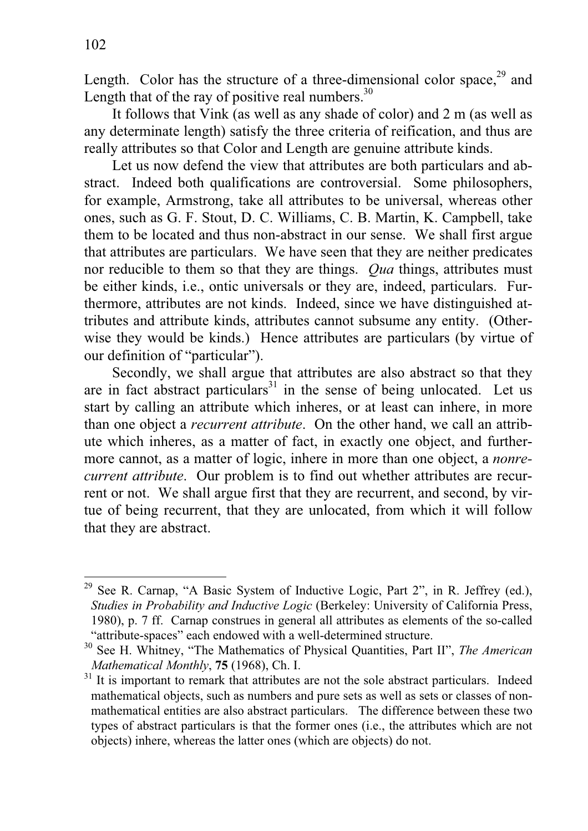Length. Color has the structure of a three-dimensional color space, $^{29}$  and Length that of the ray of positive real numbers.<sup>30</sup>

 It follows that Vink (as well as any shade of color) and 2 m (as well as any determinate length) satisfy the three criteria of reification, and thus are really attributes so that Color and Length are genuine attribute kinds.

 Let us now defend the view that attributes are both particulars and abstract. Indeed both qualifications are controversial. Some philosophers, for example, Armstrong, take all attributes to be universal, whereas other ones, such as G. F. Stout, D. C. Williams, C. B. Martin, K. Campbell, take them to be located and thus non-abstract in our sense. We shall first argue that attributes are particulars. We have seen that they are neither predicates nor reducible to them so that they are things. *Qua* things, attributes must be either kinds, i.e., ontic universals or they are, indeed, particulars. Furthermore, attributes are not kinds. Indeed, since we have distinguished attributes and attribute kinds, attributes cannot subsume any entity. (Otherwise they would be kinds.) Hence attributes are particulars (by virtue of our definition of "particular").

 Secondly, we shall argue that attributes are also abstract so that they are in fact abstract particulars<sup>31</sup> in the sense of being unlocated. Let us start by calling an attribute which inheres, or at least can inhere, in more than one object a *recurrent attribute*. On the other hand, we call an attribute which inheres, as a matter of fact, in exactly one object, and furthermore cannot, as a matter of logic, inhere in more than one object, a *nonrecurrent attribute*. Our problem is to find out whether attributes are recurrent or not. We shall argue first that they are recurrent, and second, by virtue of being recurrent, that they are unlocated, from which it will follow that they are abstract.

<sup>&</sup>lt;sup>29</sup> See R. Carnap, "A Basic System of Inductive Logic, Part 2", in R. Jeffrey (ed.), *Studies in Probability and Inductive Logic* (Berkeley: University of California Press, 1980), p. 7 ff. Carnap construes in general all attributes as elements of the so-called "attribute-spaces" each endowed with a well-determined structure.

<sup>30</sup> See H. Whitney, "The Mathematics of Physical Quantities, Part II", *The American* 

*Mathematical Monthly*, **75** (1968), Ch. I.<br><sup>31</sup> It is important to remark that attributes are not the sole abstract particulars. Indeed mathematical objects, such as numbers and pure sets as well as sets or classes of nonmathematical entities are also abstract particulars. The difference between these two types of abstract particulars is that the former ones (i.e., the attributes which are not objects) inhere, whereas the latter ones (which are objects) do not.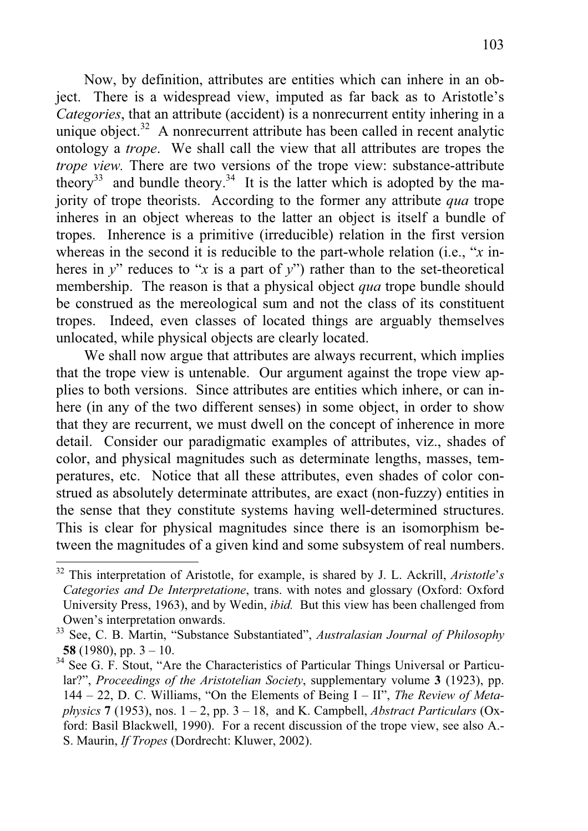Now, by definition, attributes are entities which can inhere in an object. There is a widespread view, imputed as far back as to Aristotle's *Categories*, that an attribute (accident) is a nonrecurrent entity inhering in a unique object. $32$  A nonrecurrent attribute has been called in recent analytic ontology a *trope*. We shall call the view that all attributes are tropes the *trope view.* There are two versions of the trope view: substance-attribute theory<sup>33</sup> and bundle theory.<sup>34</sup> It is the latter which is adopted by the majority of trope theorists. According to the former any attribute *qua* trope inheres in an object whereas to the latter an object is itself a bundle of tropes. Inherence is a primitive (irreducible) relation in the first version whereas in the second it is reducible to the part-whole relation (i.e., "*x* inheres in  $y''$  reduces to "*x* is a part of  $y''$ ) rather than to the set-theoretical membership. The reason is that a physical object *qua* trope bundle should be construed as the mereological sum and not the class of its constituent tropes. Indeed, even classes of located things are arguably themselves unlocated, while physical objects are clearly located.

 We shall now argue that attributes are always recurrent, which implies that the trope view is untenable. Our argument against the trope view applies to both versions. Since attributes are entities which inhere, or can inhere (in any of the two different senses) in some object, in order to show that they are recurrent, we must dwell on the concept of inherence in more detail. Consider our paradigmatic examples of attributes, viz., shades of color, and physical magnitudes such as determinate lengths, masses, temperatures, etc. Notice that all these attributes, even shades of color construed as absolutely determinate attributes, are exact (non-fuzzy) entities in the sense that they constitute systems having well-determined structures. This is clear for physical magnitudes since there is an isomorphism between the magnitudes of a given kind and some subsystem of real numbers.  $\overline{a}$ 

<sup>32</sup> This interpretation of Aristotle, for example, is shared by J. L. Ackrill, *Aristotle*'*s Categories and De Interpretatione*, trans. with notes and glossary (Oxford: Oxford University Press, 1963), and by Wedin, *ibid.* But this view has been challenged from Owen's interpretation onwards.

<sup>33</sup> See, C. B. Martin, "Substance Substantiated", *Australasian Journal of Philosophy* **58** (1980), pp. 3 – 10.

 $34$  See G. F. Stout, "Are the Characteristics of Particular Things Universal or Particular?", *Proceedings of the Aristotelian Society*, supplementary volume **3** (1923), pp. 144 – 22, D. C. Williams, "On the Elements of Being I – II", *The Review of Metaphysics* **7** (1953), nos. 1 – 2, pp. 3 – 18, and K. Campbell, *Abstract Particulars* (Oxford: Basil Blackwell, 1990). For a recent discussion of the trope view, see also A.- S. Maurin, *If Tropes* (Dordrecht: Kluwer, 2002).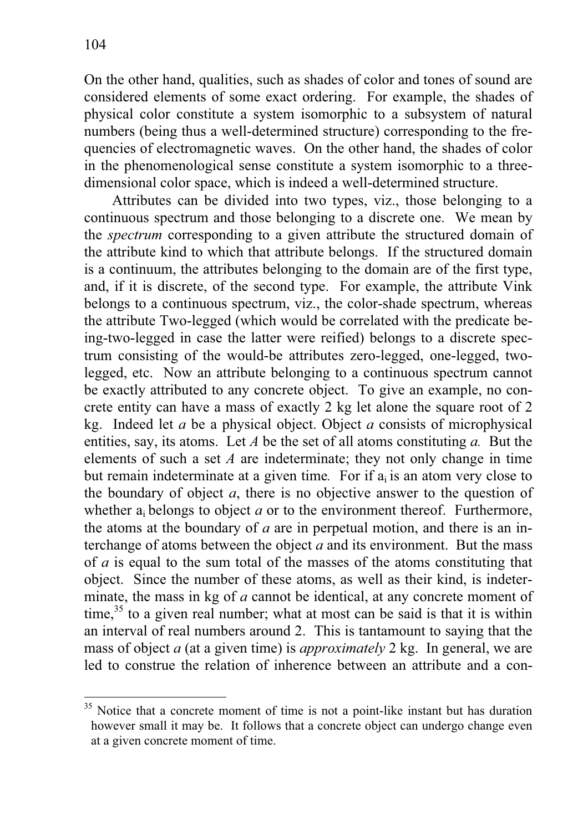On the other hand, qualities, such as shades of color and tones of sound are considered elements of some exact ordering. For example, the shades of physical color constitute a system isomorphic to a subsystem of natural numbers (being thus a well-determined structure) corresponding to the frequencies of electromagnetic waves. On the other hand, the shades of color in the phenomenological sense constitute a system isomorphic to a threedimensional color space, which is indeed a well-determined structure.

 Attributes can be divided into two types, viz., those belonging to a continuous spectrum and those belonging to a discrete one. We mean by the *spectrum* corresponding to a given attribute the structured domain of the attribute kind to which that attribute belongs. If the structured domain is a continuum, the attributes belonging to the domain are of the first type, and, if it is discrete, of the second type. For example, the attribute Vink belongs to a continuous spectrum, viz., the color-shade spectrum, whereas the attribute Two-legged (which would be correlated with the predicate being-two-legged in case the latter were reified) belongs to a discrete spectrum consisting of the would-be attributes zero-legged, one-legged, twolegged, etc. Now an attribute belonging to a continuous spectrum cannot be exactly attributed to any concrete object. To give an example, no concrete entity can have a mass of exactly 2 kg let alone the square root of 2 kg. Indeed let *a* be a physical object. Object *a* consists of microphysical entities, say, its atoms. Let *A* be the set of all atoms constituting *a.* But the elements of such a set *A* are indeterminate; they not only change in time but remain indeterminate at a given time. For if  $a_i$  is an atom very close to the boundary of object *a*, there is no objective answer to the question of whether  $a_i$  belongs to object  $a$  or to the environment thereof. Furthermore, the atoms at the boundary of *a* are in perpetual motion, and there is an interchange of atoms between the object *a* and its environment. But the mass of *a* is equal to the sum total of the masses of the atoms constituting that object. Since the number of these atoms, as well as their kind, is indeterminate, the mass in kg of *a* cannot be identical, at any concrete moment of time, $35$  to a given real number; what at most can be said is that it is within an interval of real numbers around 2. This is tantamount to saying that the mass of object *a* (at a given time) is *approximately* 2 kg. In general, we are led to construe the relation of inherence between an attribute and a con-

<sup>&</sup>lt;sup>35</sup> Notice that a concrete moment of time is not a point-like instant but has duration however small it may be. It follows that a concrete object can undergo change even at a given concrete moment of time.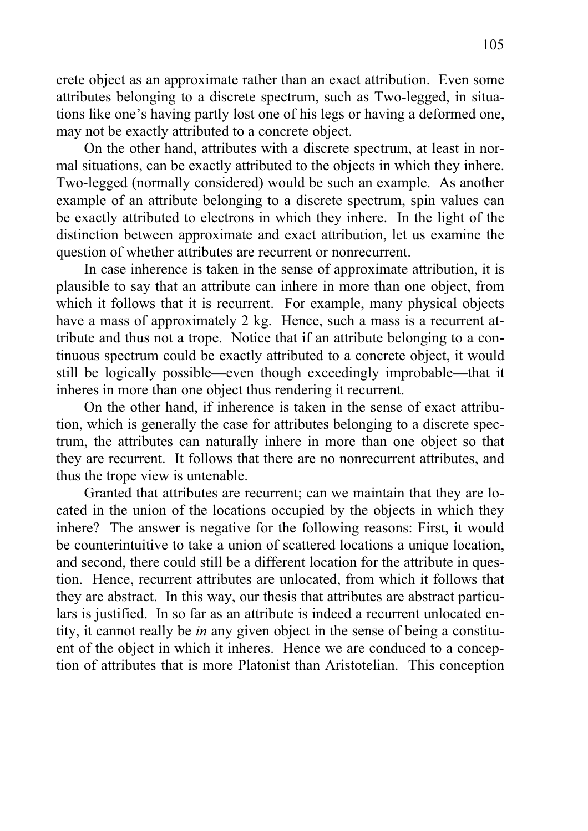crete object as an approximate rather than an exact attribution. Even some attributes belonging to a discrete spectrum, such as Two-legged, in situations like one's having partly lost one of his legs or having a deformed one, may not be exactly attributed to a concrete object.

 On the other hand, attributes with a discrete spectrum, at least in normal situations, can be exactly attributed to the objects in which they inhere. Two-legged (normally considered) would be such an example. As another example of an attribute belonging to a discrete spectrum, spin values can be exactly attributed to electrons in which they inhere. In the light of the distinction between approximate and exact attribution, let us examine the question of whether attributes are recurrent or nonrecurrent.

 In case inherence is taken in the sense of approximate attribution, it is plausible to say that an attribute can inhere in more than one object, from which it follows that it is recurrent. For example, many physical objects have a mass of approximately 2 kg. Hence, such a mass is a recurrent attribute and thus not a trope. Notice that if an attribute belonging to a continuous spectrum could be exactly attributed to a concrete object, it would still be logically possible—even though exceedingly improbable—that it inheres in more than one object thus rendering it recurrent.

 On the other hand, if inherence is taken in the sense of exact attribution, which is generally the case for attributes belonging to a discrete spectrum, the attributes can naturally inhere in more than one object so that they are recurrent. It follows that there are no nonrecurrent attributes, and thus the trope view is untenable.

 Granted that attributes are recurrent; can we maintain that they are located in the union of the locations occupied by the objects in which they inhere? The answer is negative for the following reasons: First, it would be counterintuitive to take a union of scattered locations a unique location, and second, there could still be a different location for the attribute in question. Hence, recurrent attributes are unlocated, from which it follows that they are abstract. In this way, our thesis that attributes are abstract particulars is justified. In so far as an attribute is indeed a recurrent unlocated entity, it cannot really be *in* any given object in the sense of being a constituent of the object in which it inheres. Hence we are conduced to a conception of attributes that is more Platonist than Aristotelian. This conception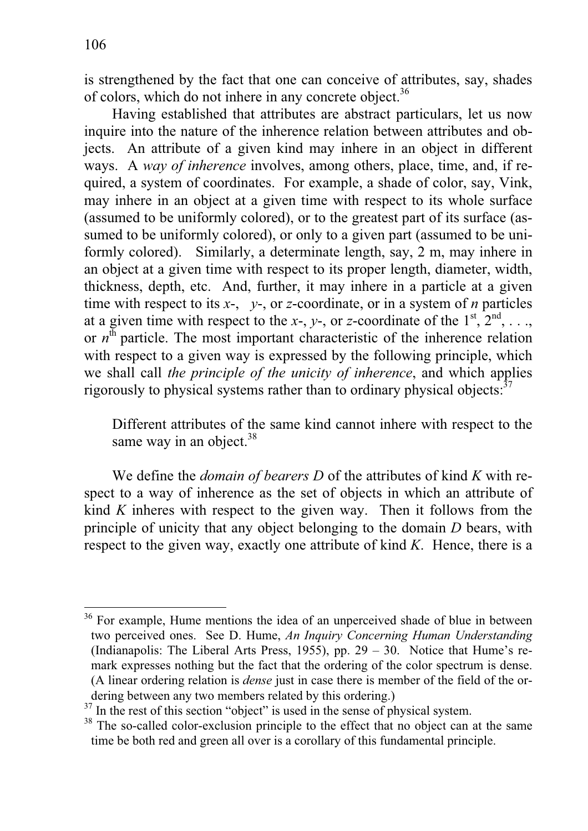$\overline{a}$ 

is strengthened by the fact that one can conceive of attributes, say, shades of colors, which do not inhere in any concrete object.<sup>36</sup>

 Having established that attributes are abstract particulars, let us now inquire into the nature of the inherence relation between attributes and objects. An attribute of a given kind may inhere in an object in different ways. A *way of inherence* involves, among others, place, time, and, if required, a system of coordinates. For example, a shade of color, say, Vink, may inhere in an object at a given time with respect to its whole surface (assumed to be uniformly colored), or to the greatest part of its surface (assumed to be uniformly colored), or only to a given part (assumed to be uniformly colored). Similarly, a determinate length, say, 2 m, may inhere in an object at a given time with respect to its proper length, diameter, width, thickness, depth, etc. And, further, it may inhere in a particle at a given time with respect to its *x*-, *y*-, or *z*-coordinate, or in a system of *n* particles at a given time with respect to the *x*-, *y*-, or *z*-coordinate of the  $1^{st}$ ,  $2^{nd}$ , ..., or  $n<sup>th</sup>$  particle. The most important characteristic of the inherence relation with respect to a given way is expressed by the following principle, which we shall call *the principle of the unicity of inherence*, and which applies rigorously to physical systems rather than to ordinary physical objects: $37$ 

Different attributes of the same kind cannot inhere with respect to the same way in an object. $38$ 

 We define the *domain of bearers D* of the attributes of kind *K* with respect to a way of inherence as the set of objects in which an attribute of kind *K* inheres with respect to the given way. Then it follows from the principle of unicity that any object belonging to the domain *D* bears, with respect to the given way, exactly one attribute of kind *K*. Hence, there is a

<sup>&</sup>lt;sup>36</sup> For example, Hume mentions the idea of an unperceived shade of blue in between two perceived ones. See D. Hume, *An Inquiry Concerning Human Understanding* (Indianapolis: The Liberal Arts Press, 1955), pp. 29 – 30. Notice that Hume's remark expresses nothing but the fact that the ordering of the color spectrum is dense. (A linear ordering relation is *dense* just in case there is member of the field of the ordering between any two members related by this ordering.)

<sup>&</sup>lt;sup>37</sup> In the rest of this section "object" is used in the sense of physical system.

<sup>&</sup>lt;sup>38</sup> The so-called color-exclusion principle to the effect that no object can at the same time be both red and green all over is a corollary of this fundamental principle.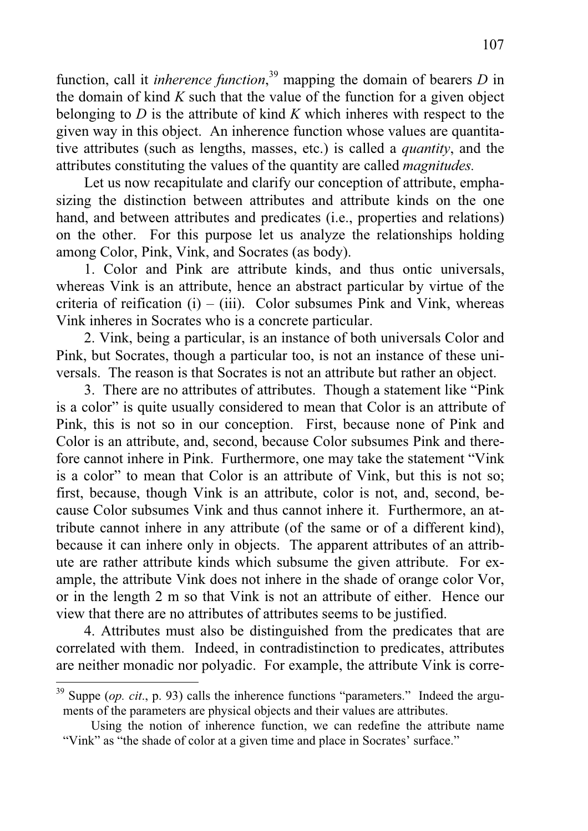function, call it *inherence function*, 39 mapping the domain of bearers *D* in the domain of kind *K* such that the value of the function for a given object belonging to *D* is the attribute of kind *K* which inheres with respect to the given way in this object. An inherence function whose values are quantitative attributes (such as lengths, masses, etc.) is called a *quantity*, and the attributes constituting the values of the quantity are called *magnitudes.*

Let us now recapitulate and clarify our conception of attribute, emphasizing the distinction between attributes and attribute kinds on the one hand, and between attributes and predicates (i.e., properties and relations) on the other. For this purpose let us analyze the relationships holding among Color, Pink, Vink, and Socrates (as body).

 1. Color and Pink are attribute kinds, and thus ontic universals, whereas Vink is an attribute, hence an abstract particular by virtue of the criteria of reification  $(i) - (iii)$ . Color subsumes Pink and Vink, whereas Vink inheres in Socrates who is a concrete particular.

 2. Vink, being a particular, is an instance of both universals Color and Pink, but Socrates, though a particular too, is not an instance of these universals. The reason is that Socrates is not an attribute but rather an object.

 3. There are no attributes of attributes. Though a statement like "Pink is a color" is quite usually considered to mean that Color is an attribute of Pink, this is not so in our conception. First, because none of Pink and Color is an attribute, and, second, because Color subsumes Pink and therefore cannot inhere in Pink. Furthermore, one may take the statement "Vink is a color" to mean that Color is an attribute of Vink, but this is not so; first, because, though Vink is an attribute, color is not, and, second, because Color subsumes Vink and thus cannot inhere it. Furthermore, an attribute cannot inhere in any attribute (of the same or of a different kind), because it can inhere only in objects. The apparent attributes of an attribute are rather attribute kinds which subsume the given attribute. For example, the attribute Vink does not inhere in the shade of orange color Vor, or in the length 2 m so that Vink is not an attribute of either. Hence our view that there are no attributes of attributes seems to be justified.

 4. Attributes must also be distinguished from the predicates that are correlated with them. Indeed, in contradistinction to predicates, attributes are neither monadic nor polyadic. For example, the attribute Vink is corre-  $\overline{a}$ 

<sup>&</sup>lt;sup>39</sup> Suppe (*op. cit.*, p. 93) calls the inherence functions "parameters." Indeed the arguments of the parameters are physical objects and their values are attributes.

Using the notion of inherence function, we can redefine the attribute name "Vink" as "the shade of color at a given time and place in Socrates' surface."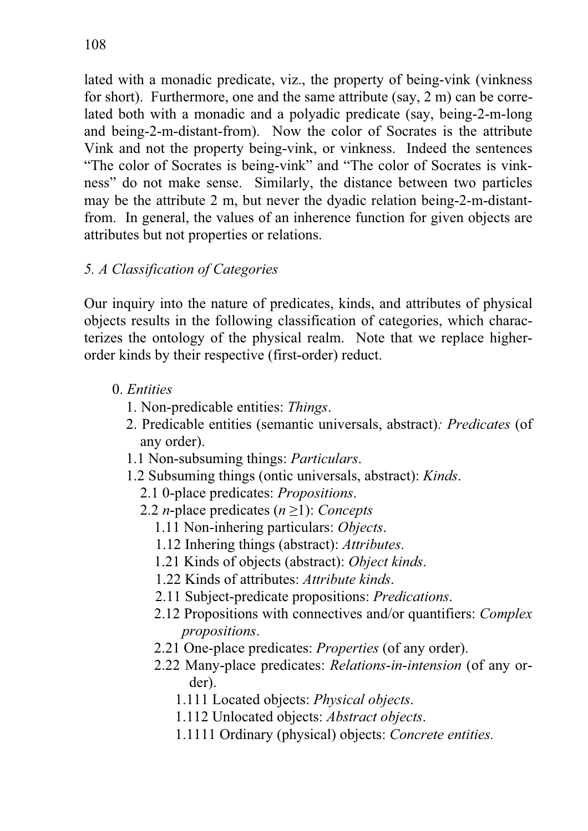lated with a monadic predicate, viz., the property of being-vink (vinkness for short). Furthermore, one and the same attribute (say, 2 m) can be correlated both with a monadic and a polyadic predicate (say, being-2-m-long and being-2-m-distant-from). Now the color of Socrates is the attribute Vink and not the property being-vink, or vinkness. Indeed the sentences "The color of Socrates is being-vink" and "The color of Socrates is vinkness" do not make sense. Similarly, the distance between two particles may be the attribute 2 m, but never the dyadic relation being-2-m-distantfrom. In general, the values of an inherence function for given objects are attributes but not properties or relations.

## *5. A Classification of Categories*

Our inquiry into the nature of predicates, kinds, and attributes of physical objects results in the following classification of categories, which characterizes the ontology of the physical realm. Note that we replace higherorder kinds by their respective (first-order) reduct.

- 0. *Entities*
	- 1. Non-predicable entities: *Things*.
	- 2. Predicable entities (semantic universals, abstract)*: Predicates* (of any order).
	- 1.1 Non-subsuming things: *Particulars*.
	- 1.2 Subsuming things (ontic universals, abstract): *Kinds*.
		- 2.1 0-place predicates: *Propositions*.
		- 2.2 *n*-place predicates  $(n \ge 1)$ : *Concepts* 
			- 1.11 Non-inhering particulars: *Objects*.
			- 1.12 Inhering things (abstract): *Attributes*.
			- 1.21 Kinds of objects (abstract): *Object kinds*.
			- 1.22 Kinds of attributes: *Attribute kinds*.
			- 2.11 Subject-predicate propositions: *Predications*.
			- 2.12 Propositions with connectives and/or quantifiers: *Complex propositions*.
			- 2.21 One-place predicates: *Properties* (of any order).
			- 2.22 Many-place predicates: *Relations*-*in*-*intension* (of any order).
				- 1.111 Located objects: *Physical objects*.
				- 1.112 Unlocated objects: *Abstract objects*.
				- 1.1111 Ordinary (physical) objects: *Concrete entities.*